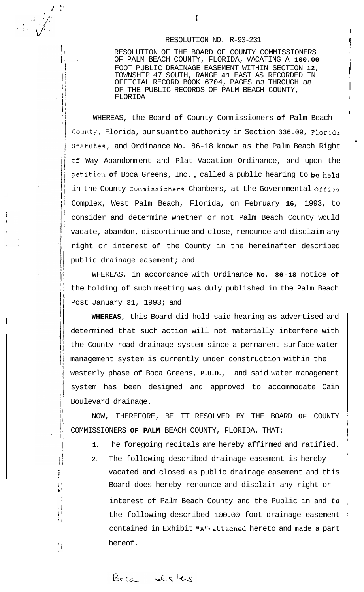#### RESOLUTION NO. R-93-231

I

I

**I** 

i

!

!

**i** 

i<br>I

.

! RESOLUTION OF THE BOARD OF COUNTY COMMISSIONERS **<sup>I</sup>** 1. OF PALM BEACH COUNTY, FLORIDA, VACATING A **100.00**  FOOT PUBLIC DRAINAGE EASEMENT WITHIN SECTION 12, TOWNSHIP 47 SOUTH, RANGE **41** EAST AS RECORDED IN I OFFICIAL RECORD BOOK 6704, PAGES 83 THROUGH 88 OF THE PUBLIC RECORDS OF PALM BEACH COUNTY, FLORIDA

WHEREAS, the Board **of** County Commissioners **of** Palm Beach County, Florida, pursuantto authority in Section 336.09, Florida Statutes, and Ordinance No. 86-18 known as the Palm Beach Right **of** Way Abandonment and Plat Vacation Ordinance, and upon the petition **of** Boca Greens, Inc. , called a public hearing to be held in the County Commissioners Chambers, at the Governmental Office Complex, West Palm Beach, Florida, on February **16,** 1993, to consider and determine whether or not Palm Beach County would vacate, abandon, discontinue and close, renounce and disclaim any right or interest **of** the County in the hereinafter described public drainage easement; and

WHEREAS, in accordance with Ordinance **No. 86-18** notice **of**  the holding of such meeting was duly published in the Palm Beach Post January 31, 1993; and

**WHEREAS,** this Board did hold said hearing as advertised and determined that such action will not materially interfere with the County road drainage system since a permanent surface water management system is currently under construction within the westerly phase of Boca Greens, **P.U.D.,** and said water management system has been designed and approved to accommodate Cain Boulevard drainage.

NOW, THEREFORE, BE IT RESOLVED BY THE BOARD **OF** COUNTY COMMISSIONERS OF PALM BEACH COUNTY, FLORIDA, THAT:

- 1. The foregoing recitals are hereby affirmed and ratified.
- 2. The following described drainage easement is hereby vacated and closed as public drainage easement and this i Board does hereby renounce and disclaim any right or interest of Palm Beach County and the Public in and  $to$ . the following described 100.00 foot drainage easement : contained in Exhibit "A"<sup>\*</sup>-attached hereto and made a part hereof.

Boca cheles

/ II **I,** 

/. **I:** 

 $\frac{1}{2}$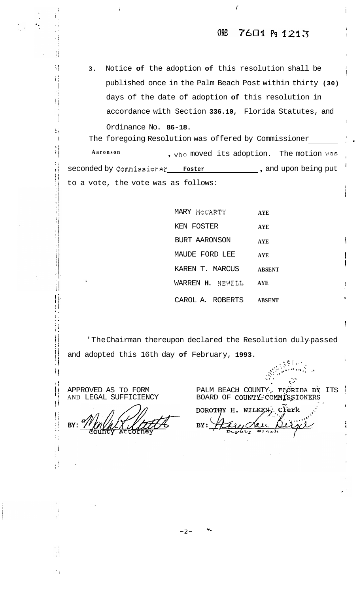#### 7601 Ps 1213 ORE

Notice of the adoption of this resolution shall be  $3.$ published once in the Palm Beach Post within thirty (30) days of the date of adoption of this resolution in accordance with Section 336.10, Florida Statutes, and Ordinance No. 86-18.

The foregoing Resolution was offered by Commissioner . , who moved its adoption. The motion was Aaronson seconded by Commissioner Foster to a vote, the vote was as follows:

> MARY MCCARTY **AYE** KEN FOSTER **AYE** BURT AARONSON **AYE** MAUDE FORD LEE **AYE** KAREN T. MARCUS **ABSENT** WARREN H. NEWELL **AYE** CAROL A. ROBERTS **ABSENT**

'TheChairman thereupon declared the Resolution dulypassed and adopted this 16th day of February, 1993.

APPROVED AS TO FORM AND LEGAL SUFFICIENCY

Ħ

 $\bar{\rm H}$ 

 $\ddot{\phantom{0}}$ 

ij

 $\frac{1}{2}$  :

J

 $\prod_{i=1}^{n}$ 

Ħ

 $\ddots$ j

Ιļ

BY:

 $\ddot{\mathbf{c}}$ PALM BEACH COUNTY. FIGRIDA BY ITS  $\mathbb{R}^2$ BOARD OF COUNTY COMMISSIONERS

 $\mathbb{R}$  by  $\mathbb{R}$ 

DOROTHY H. WILKEN , Clerk BY: Depaty  $Q_{\text{best}}$ 

 $-2-$ 

 $\pmb{\mathtt{w}}$  .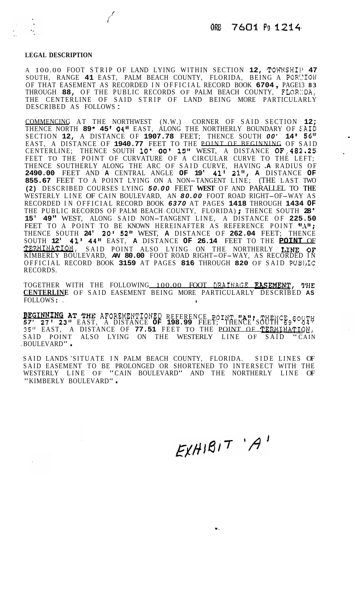### **LEGAL DESCRIPTION**

 $\overline{\phantom{a}}$ 

*i./* 

A 100.00 FOOT STRIP OF LAND LYING WITHIN SECTION 12, TOWNSHIP 47 SOUTH, RANGE 41 EAST, PALM BEACH COUNTY, FLORIDA, BEING A PORCION OF THAT EASEMENT AS RECORDED IN OFFICIAL RECORD BOOK **<sup>6704</sup>**, PAGE13 **<sup>83</sup>** THROUGH 88, OF THE PUBLIC RECORDS OF PALM BEACH COUNTY, THE CENTERLINE OF SAID STRIP OF LAND BEING MORE PARTICULARLY DESCRIBED AS FOLLOWS :

COMMENCING AT THE NORTHWEST (N.W.) CORNER OF SAID SECTION **12;**  THENCE NORTH **<sup>89</sup>**' **45 04"** EAST, ALONG THE NORTHERLY BOUNDARY OF \$:AID SECTION **12,** A DISTANCE OF **1907.78** FEET; THENCE SOUTH *00'* **14 I 56"**  EAST, A DISTANCE OF **1940.77** FEET TO THE POINT OF BEGINNING OF SAID CENTERLINE; THENCE SOUTH **10' 00' 15"** WEST, A DISTANCE **OF..482.25**  FEET TO THE POINT OF CURVATURE OF A CIRCULAR CURVE TO THE LEFT; THENCE SOUTHERLY ALONG THE ARC OF SAID CURVE, HAVING **.A** RADIUS OF **2490.00** FEET AND **A** CENTRAL ANGLE **OF 19' 41' 21", A** DISTANCE **OF 855.67** FEET TO A POINT LYING ON A NON-TANGENT LINE; (THE LAST TWO **(2)** DESCRIBED COURSES LYING *50.00* FEET **WEST** OF AND PARALLEL TO **THE**  WESTERLY LINE OF CAIN BOULEVARD, AN *80.00* FOOT ROAD RIGHT-OF-WAY AS RECORDED IN OFFICIAL RECORD BOOK **6370** AT PAGES **1418** THROUGH **1434 OF** THE PUBLIC RECORDS OF PALM BEACH COUNTY, FLORIDA); THENCE SOUTH **28 15' 49"** WEST, ALONG SAID NON-TANGENT LINE, A DISTANCE OF **225.50**  15' 49" WEST, ALONG SAID NON-TANGENT LINE, A DISTANCE OF 225.50<br>FEET TO A POINT TO BE KNOWN HEREINAFTER AS REFERENCE POINT "A"; THENCE SOUTH **24' 20' 52"** WEST, **A** DISTANCE OF **262.04** FEET; THENCE SOUTH **12' 41' 44"** EAST, **A** DISTANCE **OF 26.14** FEET TO THE **POINT** OF KIMBERLY BOULEVARD, *AN* **80.00** FOOT ROAD RIGHT-OF-WAY, AS RECORDED IN TERMINATION, SAID POINT ALSO LYING ON THE NORTHERLY LINE **OF**  OFFICIAL RECORD BOOK **3159** AT PAGES **816** THROUGH **820** OF SAID PUBIJC RECORDS.

TOGETHER WITH THE FOLLOWING 100.00 FOOT **DRAIfJAGE EASEMENT, 9'HE CENTERLINE** OF SAID EASEMENT BEING MORE PARTICULARLY DESCRIBED **AS**  FOLLOWS : . **<sup>I</sup>**

**BEGINNING AT THE AFOREMENTIONED REFERENCE POINT "A"; THENCE SOUTH** *57'* **27' 23"** EAST, A DISTANCE **OF 198.99** FEET; THENCE SOUTH *69'* **04' 35"** EAST, A DISTANCE OF **77.51** FEET TO THE POINT OF **TERMINATIOE,**  SAID POINT ALSO LYING ON THE WESTERLY LINE OF SAID "CAIN . BOULEVARD" .

SAID LANDS 'SITUATE IN PALM BEACH COUNTY, FLORIDA. SIDE LINES OF SAID EASEMENT TO BE PROLONGED OR SHORTENED TO INTERSECT WITH THE WESTERLY LINE OF "CAIN BOULEVARD" AND THE NORTHERLY LINE OF "KIMBERLY BOULEVARD" .

 $E[XH|B|T' A'$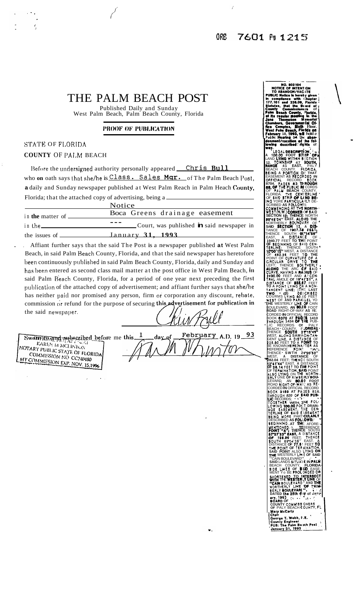# THE PALM BEACH POST

*i/'* 

Published Daily and Sunday West Palm Beach, Palm Beach County, Florida

#### PROOF OF PUBLICATION

## **STATE** OF F1,ORIDA

**COUNTY** OF **I'A1,M** BEACH

Before the undersigned authority personally appeared Chris Bull who **on** oath says that she/he is Class. Sales Mgr. of The Palm Beach Post, a daily and Sunday newspaper published at West Palm Reach in Palm Heach County, Florida; that the attached copy of advertising, being a  $NT = 1$ 

|                                        | Notice.                                                   |  |  |
|----------------------------------------|-----------------------------------------------------------|--|--|
| in <b>the</b> matter of $\blacksquare$ | Boca Greens drainage easement                             |  |  |
| in the                                 | Court, was puhlished $\mathbf{\dot{n}}$ said newspaper in |  |  |
| the issues of -                        | January 31, 1993                                          |  |  |

Affiant further says that the said The Post is a newspaper published at West Palm Beach, in said Palm Heach County, Florida, and that the said newspaper has heretofore heen continuously puhlished in said Palm Beach County, Florida, daily and Sunday and has been entered as second class mail matter at the post office in West Palm Beach, **in** said Palm Reach County, Florida, for a period of one year next preceding the firs1 publication of the attached copy of advertisement; and affiant further says that she/he has neither paid nor promised any person, firm **or** corporation any discount, rehate. commission or refund for the purpose of securing this advertisement for publication in the said newspaper.

Swell Turand subscribed before me this\_ **HEINERSHUM FINE FULL**<br>KAREN M MCLINTON<br>Y PUBLIC STATE NOTARY PUBLIC STATE OF ELORIDA **COMMISSION NO CC240480**<br>COMMISSION NO CC240480<br>COMMISSION EVR VOLU MY COMMESION NO CC240480

 $\in$ February A.D. 19  $\mathbf{1}$ 93 dar برا

 $\bullet$ .

ITENT ION County Commissioners of **County Commissioning of**<br>**Palm Beach County, Florida, Bi Re fepular mealing in the<br><b>Jane - Thompion - M** smortal<br>Chambers, Governmerital Office Complex. **Sixth Floor. Weal Cmb Be.ch fb Wa** *oa* Februmw **18, 1001, rll hold** *<sup>0</sup>* Public **Hearing** on this aban-<br>donment/vacation of the fob **bowing described: rights** of

**we? EGAL DESCRIPTION<br>0.00 FOOT STMP A 100.00 BESCRIPTION A 100.00 FOOT STHIP 'OF A**<br>A 100.00 FOOT STHIP OF A **12. TOWNSHIP 47 BOUTH,**<br>**REACH COUNTY. FI .PALY<br>BEACH COUNTY. FI .PAIDA.**<br>BEACH COUNTY. FI .PAIDA.<br>EASEMENT AS RECORDED IN 8704. PAOES 83 WROUGH **BASEMENT AS<br>
CFFICIAL RESTAL RESTAL PAGES**<br> **88, OF THE PURE THE RESTAL BE OF PALU BEACH COUNTY,<br>FLORIDA. THE CENI'ERLINE<br>OF SAID STRIP OF LAIND BE-**ING YORE PARTICULAIRLY DE-<br>SCRIBED AS FOLLOW<sup>!!!</sup><br>COMMENCING AT THE NORTH-<br>WEST (N.W.) **CORNER** IV SAID<br>SECTION 12: THENCE NORTH **SECTION 1% THENCE** NORTH NORTHERLY BWWDl~RV OF \* **W46'04" EAST. ALOItO THE SAID SECTION 12, A DIS-**TANCE OF **1907.78 FEET:**<br>Thence South **0("14"56"**<br>EAST, **A distan(e of .**<br>1940.77 Feet to **TMI!** Point<br>OF BEOINNING OF SAID CEN-<br>TERLINE; THENCE SOUTH \* **lQ00'1L"** WEST, **A** DISTANCE POINT OF CURVATUllE *OF A*  OF **411.26** FEET **110 THE CIRCULAR DRIVE TO THE LEFT; THENCH MONO** THE ARC (IF **SA10** \* **CURVE.** HAVINO **A** 11Al>IUS OF TRAL AMOLE *Of* **104 1.21". A 24W.00** FEET AND A?CEK DISTANCE OF **Bss.a7** FEET **TO A POINT** LYlND **Oh1 A** NON- TANDENT **UNZ:** (THI! **LAST**  COURMS LVINO **WAO** FEET **TWO** \* **(21** DEIICRIBED WEST OF **AND** PARAILEL YO **'THE** WESTERLY **UHE** 'OF CAIN BOULEVARD. **AN 8O.(lO** FOOT ROAD RIGHT-OF-WAY AS RECORDED IN OFFICIAL RECORDS<br>
BOOK 8370 AT PACIS 1410<br>
BOOK 8370 AT PACIS 1410<br>
- LIC RECORDS OF PHE PUB-<br>
- LIC RECORDS OF PALY<br>
BEACH COUNTY, F-ORDAN<br>
WEST, ALONG SAM NON-TAN<br>
USES TO A POINT OF SECT BEACH **COUNTY, FLORIDAY**<br>THENCE SOUTH **2P15'49"**<br>CENT LINE, A DISTANCE OF<br>28.60 FEET TO A PONT TO<br>28 KNOWN HEREINA! TEA AS<br>REFEET: SWTH 21'20'52"<br>WEST, A DISTANCE OF<br>282.04 FEET: THENCE OF<br>22.04 FEET: THENCE OF THE AST, A **OF 28.14** FEET **TO n le** PMHT OF TERUINATIOW. *SlmID* POINT LLSO LWNO ON TM NORW- ERLY UNE **OF** KWBE **PLY BO\***  LEVARD AN **W.08J FOOT**  ROAD RiQHT-OF-WAll'; **AS** RE-. CORDED IN OFFICIAL RECORD .<br>BOOK 3159 AT PAIES 816.<br>THROUGH *820 CF* PAID PUB-<br>LIC RECORDS: LIC RECORDS; **LOGETHER WITH. 1HE FOL-**AGE EASEMENT, THE CE<del>H .</del><br>Terline *of* said ease*ment ?*<br>Being More Part Cularly .: DESCRIBED **AS FOLI.OW8: ``|**<br>BEQINNING .AT THI: AFORE-<br>WENTIONED: `` THENCE SOUTH B7"27"23" EAST, A DISTANCE<br>Of **198.99** Feet; Thence sOUM **8904'51"** EAST. **A**  DISTANCE **OF 71.6'1** FEET **To** TM **POINT OF TER** UINATIW **SAID POINT** ALSO LWNO ON T ALSO LYIM<br>FERLY LIME *OF* "CAIN BOULEVARD". .- . **SAID** LANDS **ITUAlE IN PAW**  BEACH COUNTY, **FLORIDA**<br>**SIDE LINES OF <b>BIND** EASE-MENT Yo BE PROLIMOED *OR*  **rn** THE WESTEWI.Y **me** OF WORTEMED **TO** I'NTERSECT ' "CAIN BOULEVARD" AND **THE HOT BOULEVARD"**<br>BERLY BOULEVARD" .<br>BERLY BOULEVARD .:<br>DATED **the 28th duy of Jany.**<br>2014 **1993** .:, . . . . ., . .<br>BOARD OF **COUNTY COMMISSIONERS**<br>**OF PALY BEACH COUNTY, FL Yarv YcCarlr**  Chair<br>County Engineer<br>County Engineer<br>PUB: The Paim Be Ich Post<br>January 31, 1993